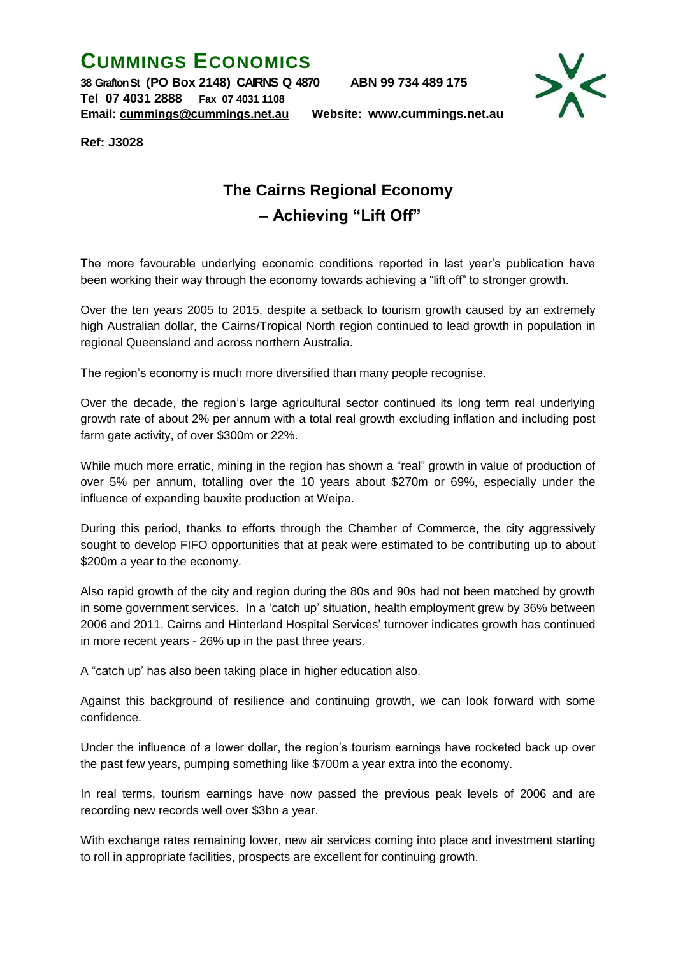## **CUMMINGS ECONOMICS**

**38 Grafton St (PO Box 2148) CAIRNS Q 4870 ABN 99 734 489 175 Tel 07 4031 2888 Fax 07 4031 1108 Email: [cummings@cummings.net.au](mailto:cummings@cummings.net.au) Website: www.cummings.net.au**



**Ref: J3028**

## **The Cairns Regional Economy – Achieving "Lift Off"**

The more favourable underlying economic conditions reported in last year's publication have been working their way through the economy towards achieving a "lift off" to stronger growth.

Over the ten years 2005 to 2015, despite a setback to tourism growth caused by an extremely high Australian dollar, the Cairns/Tropical North region continued to lead growth in population in regional Queensland and across northern Australia.

The region's economy is much more diversified than many people recognise.

Over the decade, the region's large agricultural sector continued its long term real underlying growth rate of about 2% per annum with a total real growth excluding inflation and including post farm gate activity, of over \$300m or 22%.

While much more erratic, mining in the region has shown a "real" growth in value of production of over 5% per annum, totalling over the 10 years about \$270m or 69%, especially under the influence of expanding bauxite production at Weipa.

During this period, thanks to efforts through the Chamber of Commerce, the city aggressively sought to develop FIFO opportunities that at peak were estimated to be contributing up to about \$200m a year to the economy.

Also rapid growth of the city and region during the 80s and 90s had not been matched by growth in some government services. In a 'catch up' situation, health employment grew by 36% between 2006 and 2011. Cairns and Hinterland Hospital Services' turnover indicates growth has continued in more recent years - 26% up in the past three years.

A "catch up' has also been taking place in higher education also.

Against this background of resilience and continuing growth, we can look forward with some confidence.

Under the influence of a lower dollar, the region's tourism earnings have rocketed back up over the past few years, pumping something like \$700m a year extra into the economy.

In real terms, tourism earnings have now passed the previous peak levels of 2006 and are recording new records well over \$3bn a year.

With exchange rates remaining lower, new air services coming into place and investment starting to roll in appropriate facilities, prospects are excellent for continuing growth.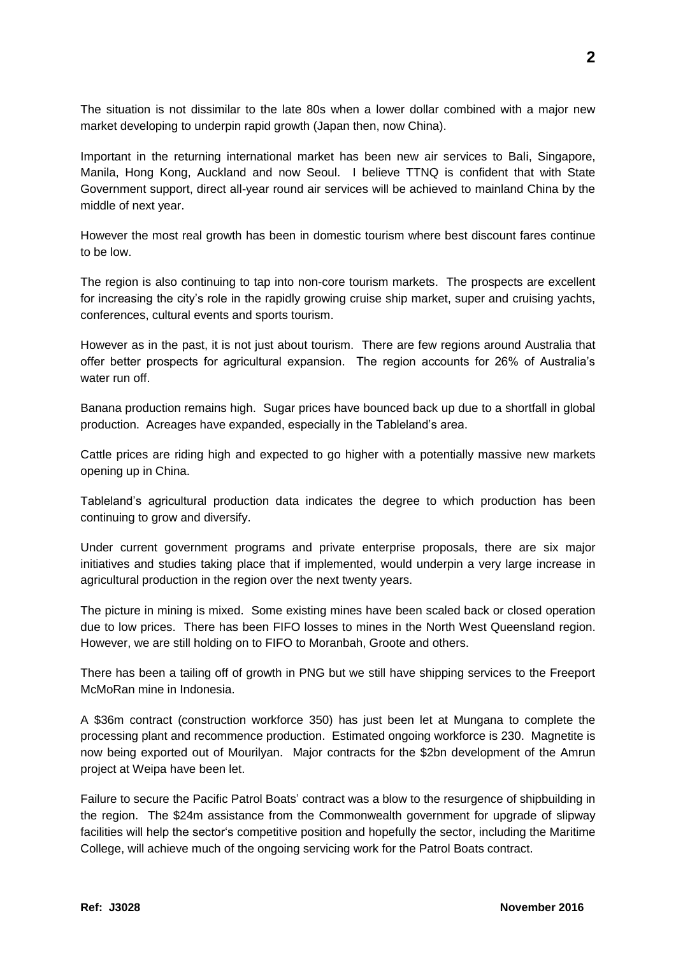The situation is not dissimilar to the late 80s when a lower dollar combined with a major new market developing to underpin rapid growth (Japan then, now China).

Important in the returning international market has been new air services to Bali, Singapore, Manila, Hong Kong, Auckland and now Seoul. I believe TTNQ is confident that with State Government support, direct all-year round air services will be achieved to mainland China by the middle of next year.

However the most real growth has been in domestic tourism where best discount fares continue to be low.

The region is also continuing to tap into non-core tourism markets. The prospects are excellent for increasing the city's role in the rapidly growing cruise ship market, super and cruising yachts, conferences, cultural events and sports tourism.

However as in the past, it is not just about tourism. There are few regions around Australia that offer better prospects for agricultural expansion. The region accounts for 26% of Australia's water run off.

Banana production remains high. Sugar prices have bounced back up due to a shortfall in global production. Acreages have expanded, especially in the Tableland's area.

Cattle prices are riding high and expected to go higher with a potentially massive new markets opening up in China.

Tableland's agricultural production data indicates the degree to which production has been continuing to grow and diversify.

Under current government programs and private enterprise proposals, there are six major initiatives and studies taking place that if implemented, would underpin a very large increase in agricultural production in the region over the next twenty years.

The picture in mining is mixed. Some existing mines have been scaled back or closed operation due to low prices. There has been FIFO losses to mines in the North West Queensland region. However, we are still holding on to FIFO to Moranbah, Groote and others.

There has been a tailing off of growth in PNG but we still have shipping services to the Freeport McMoRan mine in Indonesia.

A \$36m contract (construction workforce 350) has just been let at Mungana to complete the processing plant and recommence production. Estimated ongoing workforce is 230. Magnetite is now being exported out of Mourilyan. Major contracts for the \$2bn development of the Amrun project at Weipa have been let.

Failure to secure the Pacific Patrol Boats' contract was a blow to the resurgence of shipbuilding in the region. The \$24m assistance from the Commonwealth government for upgrade of slipway facilities will help the sector's competitive position and hopefully the sector, including the Maritime College, will achieve much of the ongoing servicing work for the Patrol Boats contract.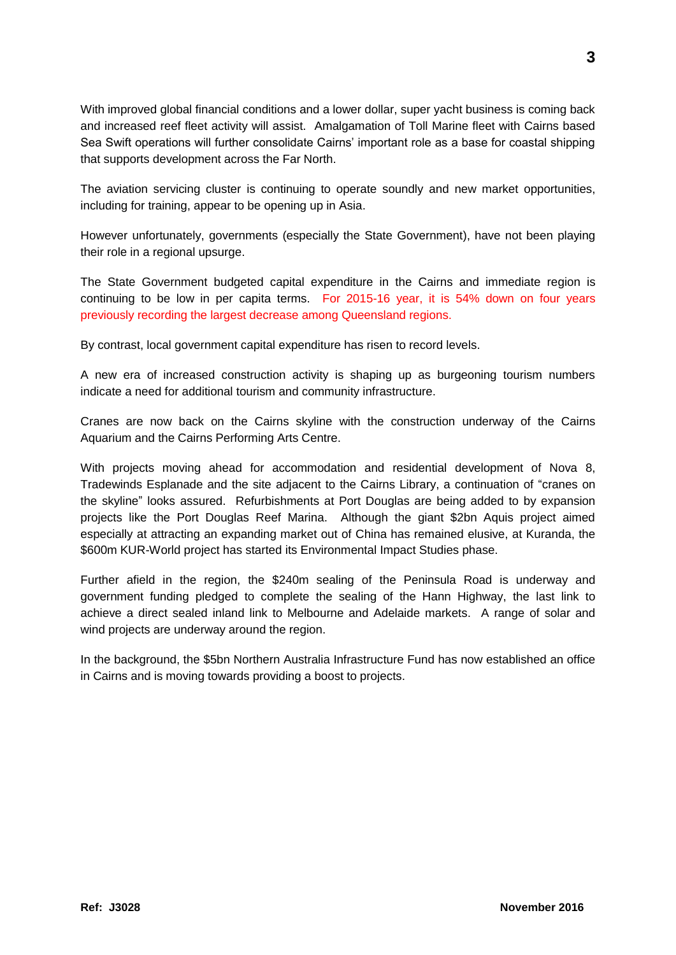With improved global financial conditions and a lower dollar, super yacht business is coming back and increased reef fleet activity will assist. Amalgamation of Toll Marine fleet with Cairns based Sea Swift operations will further consolidate Cairns' important role as a base for coastal shipping that supports development across the Far North.

The aviation servicing cluster is continuing to operate soundly and new market opportunities, including for training, appear to be opening up in Asia.

However unfortunately, governments (especially the State Government), have not been playing their role in a regional upsurge.

The State Government budgeted capital expenditure in the Cairns and immediate region is continuing to be low in per capita terms. For 2015-16 year, it is 54% down on four years previously recording the largest decrease among Queensland regions.

By contrast, local government capital expenditure has risen to record levels.

A new era of increased construction activity is shaping up as burgeoning tourism numbers indicate a need for additional tourism and community infrastructure.

Cranes are now back on the Cairns skyline with the construction underway of the Cairns Aquarium and the Cairns Performing Arts Centre.

With projects moving ahead for accommodation and residential development of Nova 8, Tradewinds Esplanade and the site adjacent to the Cairns Library, a continuation of "cranes on the skyline" looks assured. Refurbishments at Port Douglas are being added to by expansion projects like the Port Douglas Reef Marina. Although the giant \$2bn Aquis project aimed especially at attracting an expanding market out of China has remained elusive, at Kuranda, the \$600m KUR-World project has started its Environmental Impact Studies phase.

Further afield in the region, the \$240m sealing of the Peninsula Road is underway and government funding pledged to complete the sealing of the Hann Highway, the last link to achieve a direct sealed inland link to Melbourne and Adelaide markets. A range of solar and wind projects are underway around the region.

In the background, the \$5bn Northern Australia Infrastructure Fund has now established an office in Cairns and is moving towards providing a boost to projects.